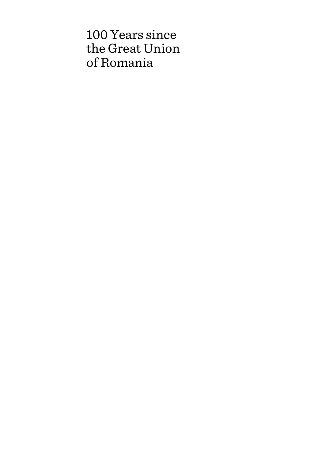# 100 Years since the Great Union of Romania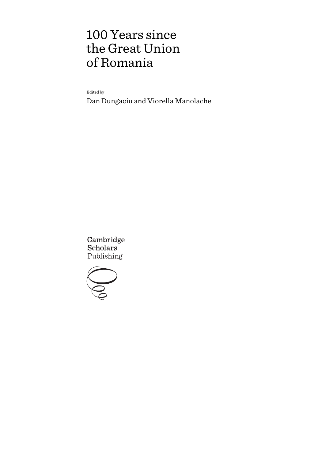# 100 Years since the Great Union of Romania

Edited by

Dan Dungaciu and Viorella Manolache

Cambridge **Scholars** Publishing

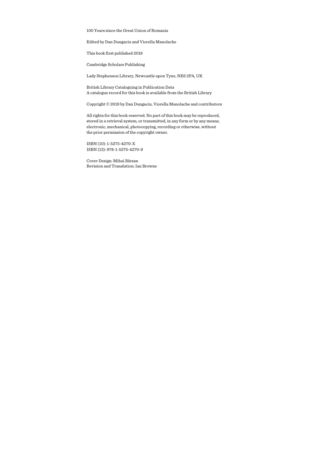100 Years since the Great Union of Romania

Edited by Dan Dungaciu and Viorella Manolache

This book first published 2019

Cambridge Scholars Publishing

Lady Stephenson Library, Newcastle upon Tyne, NE6 2PA, UK

British Library Cataloguing in Publication Data A catalogue record for this book is available from the British Library

Copyright © 2019 by Dan Dungaciu, Viorella Manolache and contributors

All rights for this book reserved. No part of this book may be reproduced, stored in a retrieval system, or transmitted, in any form or by any means, electronic, mechanical, photocopying, recording or otherwise, without the prior permission of the copyright owner.

ISBN (10): 1-5275-4270-X ISBN (13): 978-1-5275-4270-9

Cover Design: Mihai Bârsan Revision and Translation: Ian Browne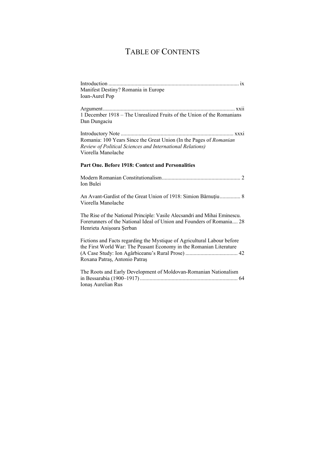## TABLE OF CONTENTS

| Manifest Destiny? Romania in Europe |                         |
|-------------------------------------|-------------------------|
| Ioan-Aurel Pop                      |                         |
|                                     |                         |
| A roument                           | $\cdot \cdot$<br>Y Y 11 |

Argument ................................................................................................ xxii 1 December 1918 – The Unrealized Fruits of the Union of the Romanians Dan Dungaciu

Introductory Note .................................................................................. xxxi Romania: 100 Years Since the Great Union (In the Pages of *Romanian Review of Political Sciences and International Relations)* Viorella Manolache

#### **Part One. Before 1918: Context and Personalities**

Modern Romanian Constitutionalism ......................................................... 2 Ion Bulei

An Avant-Gardist of the Great Union of 1918: Simion Bărnuţiu ............... 8 Viorella Manolache

The Rise of the National Principle: Vasile Alecsandri and Mihai Eminescu. Forerunners of the National Ideal of Union and Founders of Romania .... 28 Henrieta Anișoara Șerban

Fictions and Facts regarding the Mystique of Agricultural Labour before the First World War: The Peasant Economy in the Romanian Literature (A Case Study: Ion Agârbiceanu's Rural Prose) ...................................... 42 Roxana Patraș, Antonio Patraș

| The Roots and Early Development of Moldovan-Romanian Nationalism |  |
|------------------------------------------------------------------|--|
|                                                                  |  |
| Ionas Aurelian Rus                                               |  |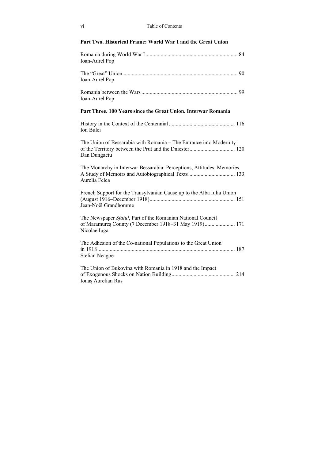### **Part Two. Historical Frame: World War I and the Great Union**

| Ioan-Aurel Pop                                                                                                                       |
|--------------------------------------------------------------------------------------------------------------------------------------|
| Ioan-Aurel Pop                                                                                                                       |
| Ioan-Aurel Pop                                                                                                                       |
| Part Three. 100 Years since the Great Union. Interwar Romania                                                                        |
| Ion Bulei                                                                                                                            |
| The Union of Bessarabia with Romania - The Entrance into Modernity<br>Dan Dungaciu                                                   |
| The Monarchy in Interwar Bessarabia: Perceptions, Attitudes, Memories.<br>Aurelia Felea                                              |
| French Support for the Transylvanian Cause up to the Alba Iulia Union<br>Jean-Noël Grandhomme                                        |
| The Newspaper Sfatul, Part of the Romanian National Council<br>of Maramures County (7 December 1918-31 May 1919) 171<br>Nicolae Iuga |
| The Adhesion of the Co-national Populations to the Great Union<br>Stelian Neagoe                                                     |
| The Union of Bukovina with Romania in 1918 and the Impact<br>Ionas Aurelian Rus                                                      |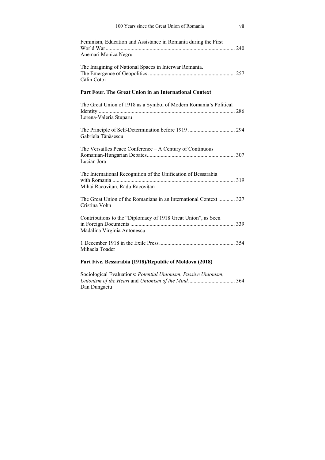| 100 Years since the Great Union of Romania                                                        | vii |
|---------------------------------------------------------------------------------------------------|-----|
| Feminism, Education and Assistance in Romania during the First                                    |     |
| Anemari Monica Negru                                                                              |     |
| The Imagining of National Spaces in Interwar Romania.<br>Călin Cotoi                              |     |
| Part Four. The Great Union in an International Context                                            |     |
| The Great Union of 1918 as a Symbol of Modern Romania's Political<br>Lorena-Valeria Stuparu       |     |
| Gabriela Tănăsescu                                                                                |     |
| The Versailles Peace Conference - A Century of Continuous<br>Lucian Jora                          |     |
| The International Recognition of the Unification of Bessarabia<br>Mihai Racovițan, Radu Racovițan |     |
| The Great Union of the Romanians in an International Context  327<br>Cristina Vohn                |     |
| Contributions to the "Diplomacy of 1918 Great Union", as Seen<br>Mădălina Virginia Antonescu      |     |
| Mihaela Toader                                                                                    |     |
| Part Five. Bessarabia (1918)/Republic of Moldova (2018)                                           |     |

Sociological Evaluations: *Potential Unionism*, *Passive Unionism*, *Unionism of the Heart* and *Unionism of the Mind* .................................. 364 Dan Dungaciu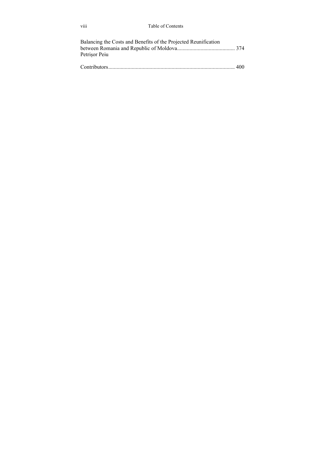| Balancing the Costs and Benefits of the Projected Reunification |  |
|-----------------------------------------------------------------|--|
|                                                                 |  |
| Petrisor Peiu                                                   |  |
|                                                                 |  |
|                                                                 |  |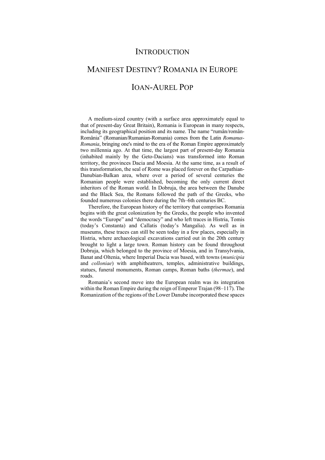## **INTRODUCTION**

# MANIFEST DESTINY? ROMANIA IN EUROPE IOAN-AUREL POP

A medium-sized country (with a surface area approximately equal to that of present-day Great Britain), Romania is European in many respects, including its geographical position and its name. The name "rumân/român-România" (Romanian/Rumanian-Romania) comes from the Latin *Romanus-Romania*, bringing one's mind to the era of the Roman Empire approximately two millennia ago. At that time, the largest part of present-day Romania (inhabited mainly by the Geto-Dacians) was transformed into Roman territory, the provinces Dacia and Moesia. At the same time, as a result of this transformation, the seal of Rome was placed forever on the Carpathian-Danubian-Balkan area, where over a period of several centuries the Romanian people were established, becoming the only current direct inheritors of the Roman world. In Dobruja, the area between the Danube and the Black Sea, the Romans followed the path of the Greeks, who founded numerous colonies there during the 7th–6th centuries BC.

Therefore, the European history of the territory that comprises Romania begins with the great colonization by the Greeks, the people who invented the words "Europe" and "democracy" and who left traces in Histria, Tomis (today's Constanta) and Callatis (today's Mangalia). As well as in museums, these traces can still be seen today in a few places, especially in Histria, where archaeological excavations carried out in the 20th century brought to light a large town. Roman history can be found throughout Dobruja, which belonged to the province of Moesia, and in Transylvania, Banat and Oltenia, where Imperial Dacia was based, with towns (*municipia* and *colloniae*) with amphitheatrers, temples, administrative buildings, statues, funeral monuments, Roman camps, Roman baths (*thermae*), and roads.

Romania's second move into the European realm was its integration within the Roman Empire during the reign of Emperor Trajan (98–117). The Romanization of the regions of the Lower Danube incorporated these spaces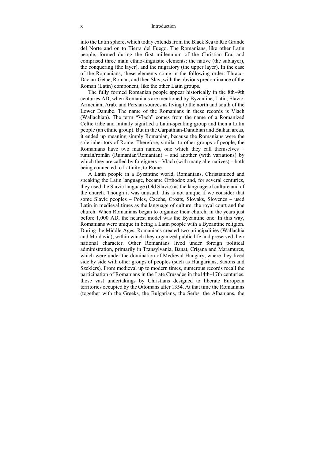#### x Introduction

into the Latin sphere, which today extends from the Black Sea to Rio Grande del Norte and on to Tierra del Fuego. The Romanians, like other Latin people, formed during the first millennium of the Christian Era, and comprised three main ethno-linguistic elements: the native (the sublayer), the conquering (the layer), and the migratory (the upper layer). In the case of the Romanians, these elements come in the following order: Thraco-Dacian-Getae, Roman, and then Slav, with the obvious predominance of the Roman (Latin) component, like the other Latin groups.

The fully formed Romanian people appear historically in the 8th–9th centuries AD, when Romanians are mentioned by Byzantine, Latin, Slavic, Armenian, Arab, and Persian sources as living to the north and south of the Lower Danube. The name of the Romanians in these records is Vlach (Wallachian). The term "Vlach" comes from the name of a Romanized Celtic tribe and initially signified a Latin-speaking group and then a Latin people (an ethnic group). But in the Carpathian-Danubian and Balkan areas, it ended up meaning simply Romanian, because the Romanians were the sole inheritors of Rome. Therefore, similar to other groups of people, the Romanians have two main names, one which they call themselves – rumân/român (Rumanian/Romanian) – and another (with variations) by which they are called by foreigners – Vlach (with many alternatives) – both being connected to Latinity, to Rome.

A Latin people in a Byzantine world, Romanians, Christianized and speaking the Latin language, became Orthodox and, for several centuries, they used the Slavic language (Old Slavic) as the language of culture and of the church. Though it was unusual, this is not unique if we consider that some Slavic peoples – Poles, Czechs, Croats, Slovaks, Slovenes – used Latin in medieval times as the language of culture, the royal court and the church. When Romanians began to organize their church, in the years just before 1,000 AD, the nearest model was the Byzantine one. In this way, Romanians were unique in being a Latin people with a Byzantine religion. During the Middle Ages, Romanians created two principalities (Wallachia and Moldavia), within which they organized public life and preserved their national character. Other Romanians lived under foreign political administration, primarily in Transylvania, Banat, Crișana and Maramureș, which were under the domination of Medieval Hungary, where they lived side by side with other groups of peoples (such as Hungarians, Saxons and Szeklers). From medieval up to modern times, numerous records recall the participation of Romanians in the Late Crusades in the14th–17th centuries, those vast undertakings by Christians designed to liberate European territories occupied by the Ottomans after 1354. At that time the Romanians (together with the Greeks, the Bulgarians, the Serbs, the Albanians, the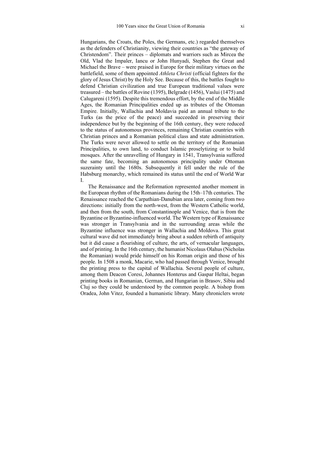Hungarians, the Croats, the Poles, the Germans, etc.) regarded themselves as the defenders of Christianity, viewing their countries as "the gateway of Christendom". Their princes – diplomats and warriors such as Mircea the Old, Vlad the Impaler, Iancu or John Hunyadi, Stephen the Great and Michael the Brave – were praised in Europe for their military virtues on the battlefield, some of them appointed *Athleta Christi* (official fighters for the glory of Jesus Christ) by the Holy See. Because of this, the battles fought to defend Christian civilization and true European traditional values were treasured – the battles of Rovine (1395), Belgrade (1456), Vaslui (1475) and Calugareni (1595). Despite this tremendous effort, by the end of the Middle Ages, the Romanian Principalities ended up as tributes of the Ottoman Empire. Initially, Wallachia and Moldavia paid an annual tribute to the Turks (as the price of the peace) and succeeded in preserving their independence but by the beginning of the 16th century, they were reduced to the status of autonomous provinces, remaining Christian countries with Christian princes and a Romanian political class and state administration. The Turks were never allowed to settle on the territory of the Romanian Principalities, to own land, to conduct Islamic proselytizing or to build mosques. After the unravelling of Hungary in 1541, Transylvania suffered the same fate, becoming an autonomous principality under Ottoman suzerainty until the 1680s. Subsequently it fell under the rule of the Habsburg monarchy, which remained its status until the end of World War I.

The Renaissance and the Reformation represented another moment in the European rhythm of the Romanians during the 15th–17th centuries. The Renaissance reached the Carpathian-Danubian area later, coming from two directions: initially from the north-west, from the Western Catholic world, and then from the south, from Constantinople and Venice, that is from the Byzantine or Byzantine-influenced world. The Western type of Renaissance was stronger in Transylvania and in the surrounding areas while the Byzantine influence was stronger in Wallachia and Moldova. This great cultural wave did not immediately bring about a sudden rebirth of antiquity but it did cause a flourishing of culture, the arts, of vernacular languages, and of printing. In the 16th century, the humanist Nicolaus Olahus (Nicholas the Romanian) would pride himself on his Roman origin and those of his people. In 1508 a monk, Macarie, who had passed through Venice, brought the printing press to the capital of Wallachia. Several people of culture, among them Deacon Coresi, Johannes Honterus and Gaspar Heltai, began printing books in Romanian, German, and Hungarian in Brasov, Sibiu and Cluj so they could be understood by the common people. A bishop from Oradea, John Vitez, founded a humanistic library. Many chroniclers wrote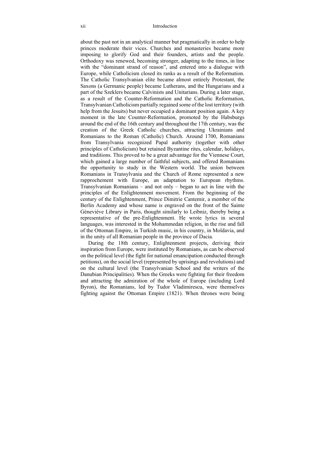about the past not in an analytical manner but pragmatically in order to help princes moderate their vices. Churches and monasteries became more imposing to glorify God and their founders, artists and the people. Orthodoxy was renewed, becoming stronger, adapting to the times, in line with the "dominant strand of reason", and entered into a dialogue with Europe, while Catholicism closed its ranks as a result of the Reformation. The Catholic Transylvanian elite became almost entirely Protestant, the Saxons (a Germanic people) became Lutherans, and the Hungarians and a part of the Szeklers became Calvinists and Unitarians. During a later stage, as a result of the Counter-Reformation and the Catholic Reformation, Transylvanian Catholicism partially regained some of the lost territory (with help from the Jesuits) but never occupied a dominant position again. A key moment in the late Counter-Reformation, promoted by the Habsburgs around the end of the 16th century and throughout the 17th century, was the creation of the Greek Catholic churches, attracting Ukrainians and Romanians to the Roman (Catholic) Church. Around 1700, Romanians from Transylvania recognized Papal authority (together with other principles of Catholicism) but retained Byzantine rites, calendar, holidays, and traditions. This proved to be a great advantage for the Viennese Court, which gained a large number of faithful subjects, and offered Romanians the opportunity to study in the Western world. The union between Romanians in Transylvania and the Church of Rome represented a new rapprochement with Europe, an adaptation to European rhythms. Transylvanian Romanians – and not only – began to act in line with the principles of the Enlightenment movement. From the beginning of the century of the Enlightenment, Prince Dimitrie Cantemir, a member of the Berlin Academy and whose name is engraved on the front of the Sainte Géneviève Library in Paris, thought similarly to Leibniz, thereby being a representative of the pre-Enlightenment. He wrote lyrics in several languages, was interested in the Mohammedan religion, in the rise and fall of the Ottoman Empire, in Turkish music, in his country, in Moldavia, and in the unity of all Romanian people in the province of Dacia.

During the 18th century, Enlightenment projects, deriving their inspiration from Europe, were instituted by Romanians, as can be observed on the political level (the fight for national emancipation conducted through petitions), on the social level (represented by uprisings and revolutions) and on the cultural level (the Transylvanian School and the writers of the Danubian Principalities). When the Greeks were fighting for their freedom and attracting the admiration of the whole of Europe (including Lord Byron), the Romanians, led by Tudor Vladimirescu, were themselves fighting against the Ottoman Empire (1821). When thrones were being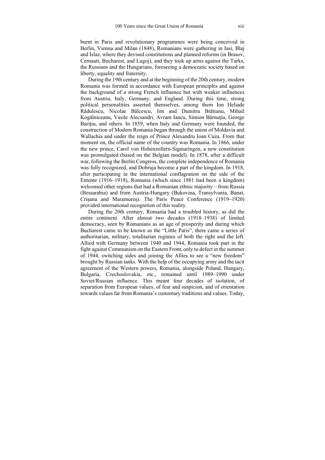burnt in Paris and revolutionary programmes were being conceived in Berlin, Vienna and Milan (1848), Romanians were gathering in Iasi, Blaj and Islaz, where they devised constitutions and planned reforms (in Brasov, Cernauti, Bucharest, and Lugoj), and they took up arms against the Turks, the Russians and the Hungarians, foreseeing a democratic society based on liberty, equality and fraternity.

During the 19th century and at the beginning of the 20th century, modern Romania was formed in accordance with European principles and against the background of a strong French influence but with weaker influences from Austria, Italy, Germany, and England. During this time, strong political personalities asserted themselves, among them Ion Heliade Rădulescu, Nicolae Bălcescu, Ion and Dumitru Brătianu, Mihail Kogălniceanu, Vasile Alecsandri, Avram Iancu, Simion Bărnuțiu, George Baritiu, and others. In 1859, when Italy and Germany were founded, the construction of Modern Romania began through the union of Moldavia and Wallachia and under the reign of Prince Alexandru Ioan Cuza. From that moment on, the official name of the country was Romania. In 1866, under the new prince, Carol von Hohenzollern-Sigmaringen, a new constitution was promulgated (based on the Belgian model). In 1878, after a difficult war, following the Berlin Congress, the complete independence of Romania was fully recognized, and Dobruja become a part of the kingdom. In 1918, after participating in the international conflagration on the side of the Entente (1916–1918), Romania (which since 1881 had been a kingdom) welcomed other regions that had a Romanian ethnic majority – from Russia (Bessarabia) and from Austria-Hungary (Bukovina, Transylvania, Banat, Crișana and Maramureș). The Paris Peace Conference (1919–1920) provided international recognition of this reality.

During the 20th century, Romania had a troubled history, as did the entire continent. After almost two decades (1918–1938) of limited democracy, seen by Romanians as an age of prosperity and during which Bucharest came to be known as the "Little Paris", there came a series of authoritarian, military, totalitarian regimes of both the right and the left. Allied with Germany between 1940 and 1944, Romania took part in the fight against Communism on the Eastern Front, only to defect in the summer of 1944, switching sides and joining the Allies to see a "new freedom" brought by Russian tanks. With the help of the occupying army and the tacit agreement of the Western powers, Romania, alongside Poland, Hungary, Bulgaria, Czechoslovakia, etc., remained until 1989–1990 under Soviet/Russian influence. This meant four decades of isolation, of separation from European values, of fear and suspicion, and of orientation towards values far from Romania's customary traditions and values. Today,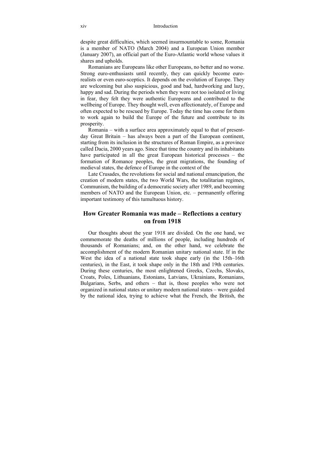despite great difficulties, which seemed insurmountable to some, Romania is a member of NATO (March 2004) and a European Union member (January 2007), an official part of the Euro-Atlantic world whose values it shares and upholds.

Romanians are Europeans like other Europeans, no better and no worse. Strong euro-enthusiasts until recently, they can quickly become eurorealists or even euro-sceptics. It depends on the evolution of Europe. They are welcoming but also suspicious, good and bad, hardworking and lazy, happy and sad. During the periods when they were not too isolated or living in fear, they felt they were authentic Europeans and contributed to the wellbeing of Europe. They thought well, even affectionately, of Europe and often expected to be rescued by Europe. Today the time has come for them to work again to build the Europe of the future and contribute to its prosperity.

Romania – with a surface area approximately equal to that of presentday Great Britain – has always been a part of the European continent, starting from its inclusion in the structures of Roman Empire, as a province called Dacia, 2000 years ago. Since that time the country and its inhabitants have participated in all the great European historical processes – the formation of Romance peoples, the great migrations, the founding of medieval states, the defence of Europe in the context of the

Late Crusades, the revolutions for social and national emancipation, the creation of modern states, the two World Wars, the totalitarian regimes, Communism, the building of a democratic society after 1989, and becoming members of NATO and the European Union, etc. – permanently offering important testimony of this tumultuous history.

### **How Greater Romania was made – Reflections a century on from 1918**

Our thoughts about the year 1918 are divided. On the one hand, we commemorate the deaths of millions of people, including hundreds of thousands of Romanians; and, on the other hand, we celebrate the accomplishment of the modern Romanian unitary national state. If in the West the idea of a national state took shape early (in the 15th–16th centuries), in the East, it took shape only in the 18th and 19th centuries. During these centuries, the most enlightened Greeks, Czechs, Slovaks, Croats, Poles, Lithuanians, Estonians, Latvians, Ukrainians, Romanians, Bulgarians, Serbs, and others – that is, those peoples who were not organized in national states or unitary modern national states – were guided by the national idea, trying to achieve what the French, the British, the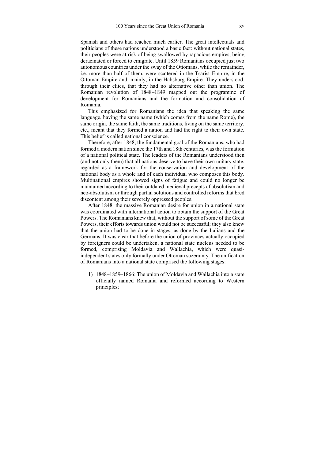Spanish and others had reached much earlier. The great intellectuals and politicians of these nations understood a basic fact: without national states, their peoples were at risk of being swallowed by rapacious empires, being deracinated or forced to emigrate. Until 1859 Romanians occupied just two autonomous countries under the sway of the Ottomans, while the remainder, i.e. more than half of them, were scattered in the Tsarist Empire, in the Ottoman Empire and, mainly, in the Habsburg Empire. They understood, through their elites, that they had no alternative other than union. The Romanian revolution of 1848–1849 mapped out the programme of development for Romanians and the formation and consolidation of Romania.

This emphasized for Romanians the idea that speaking the same language, having the same name (which comes from the name Rome), the same origin, the same faith, the same traditions, living on the same territory, etc., meant that they formed a nation and had the right to their own state. This belief is called national conscience.

Therefore, after 1848, the fundamental goal of the Romanians, who had formed a modern nation since the 17th and 18th centuries, was the formation of a national political state. The leaders of the Romanians understood then (and not only them) that all nations deserve to have their own unitary state, regarded as a framework for the conservation and development of the national body as a whole and of each individual who composes this body. Multinational empires showed signs of fatigue and could no longer be maintained according to their outdated medieval precepts of absolutism and neo-absolutism or through partial solutions and controlled reforms that bred discontent among their severely oppressed peoples.

After 1848, the massive Romanian desire for union in a national state was coordinated with international action to obtain the support of the Great Powers. The Romanians knew that, without the support of some of the Great Powers, their efforts towards union would not be successful; they also knew that the union had to be done in stages, as done by the Italians and the Germans. It was clear that before the union of provinces actually occupied by foreigners could be undertaken, a national state nucleus needed to be formed, comprising Moldavia and Wallachia, which were quasiindependent states only formally under Ottoman suzerainty. The unification of Romanians into a national state comprised the following stages:

1) 1848–1859–1866: The union of Moldavia and Wallachia into a state officially named Romania and reformed according to Western principles;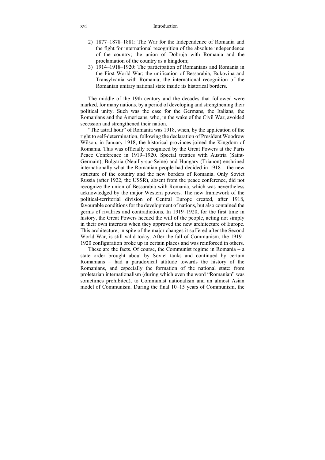#### xvi Introduction

- 2) 1877–1878–1881: The War for the Independence of Romania and the fight for international recognition of the absolute independence of the country; the union of Dobruja with Romania and the proclamation of the country as a kingdom;
- 3) 1914–1918–1920: The participation of Romanians and Romania in the First World War; the unification of Bessarabia, Bukovina and Transylvania with Romania; the international recognition of the Romanian unitary national state inside its historical borders.

The middle of the 19th century and the decades that followed were marked, for many nations, by a period of developing and strengthening their political unity. Such was the case for the Germans, the Italians, the Romanians and the Americans, who, in the wake of the Civil War, avoided secession and strengthened their nation.

"The astral hour" of Romania was 1918, when, by the application of the right to self-determination, following the declaration of President Woodrow Wilson, in January 1918, the historical provinces joined the Kingdom of Romania. This was officially recognized by the Great Powers at the Paris Peace Conference in 1919–1920. Special treaties with Austria (Saint-Germain), Bulgaria (Neuilly-sur-Seine) and Hungary (Trianon) enshrined internationally what the Romanian people had decided in 1918 – the new structure of the country and the new borders of Romania. Only Soviet Russia (after 1922, the USSR), absent from the peace conference, did not recognize the union of Bessarabia with Romania, which was nevertheless acknowledged by the major Western powers. The new framework of the political-territorial division of Central Europe created, after 1918, favourable conditions for the development of nations, but also contained the germs of rivalries and contradictions. In 1919–1920, for the first time in history, the Great Powers heeded the will of the people, acting not simply in their own interests when they approved the new architecture of Europe. This architecture, in spite of the major changes it suffered after the Second World War, is still valid today. After the fall of Communism, the 1919– 1920 configuration broke up in certain places and was reinforced in others.

These are the facts. Of course, the Communist regime in Romania  $-$  a state order brought about by Soviet tanks and continued by certain Romanians – had a paradoxical attitude towards the history of the Romanians, and especially the formation of the national state: from proletarian internationalism (during which even the word "Romanian" was sometimes prohibited), to Communist nationalism and an almost Asian model of Communism. During the final 10–15 years of Communism, the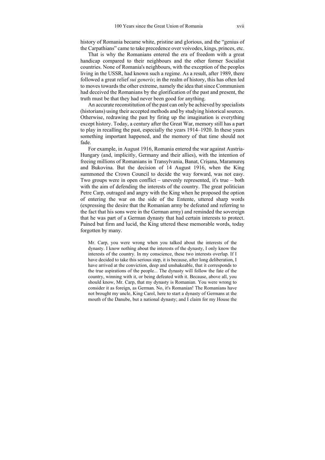history of Romania became white, pristine and glorious, and the "genius of the Carpathians" came to take precedence over voivodes, kings, princes, etc.

That is why the Romanians entered the era of freedom with a great handicap compared to their neighbours and the other former Socialist countries. None of Romania's neighbours, with the exception of the peoples living in the USSR, had known such a regime. As a result, after 1989, there followed a great relief *sui generis*; in the realm of history, this has often led to moves towards the other extreme, namely the idea that since Communism had deceived the Romanians by the glorification of the past and present, the truth must be that they had never been good for anything.

An accurate reconstitution of the past can only be achieved by specialists (historians) using their accepted methods and by studying historical sources. Otherwise, redrawing the past by firing up the imagination is everything except history. Today, a century after the Great War, memory still has a part to play in recalling the past, especially the years 1914–1920. In these years something important happened, and the memory of that time should not fade.

For example, in August 1916, Romania entered the war against Austria-Hungary (and, implicitly, Germany and their allies), with the intention of freeing millions of Romanians in Transylvania, Banat, Crișana, Maramureş and Bukovina. But the decision of 14 August 1916, when the King summoned the Crown Council to decide the way forward, was not easy. Two groups were in open conflict – unevenly represented, it's true – both with the aim of defending the interests of the country. The great politician Petre Carp, outraged and angry with the King when he proposed the option of entering the war on the side of the Entente, uttered sharp words (expressing the desire that the Romanian army be defeated and referring to the fact that his sons were in the German army) and reminded the sovereign that he was part of a German dynasty that had certain interests to protect. Pained but firm and lucid, the King uttered these memorable words, today forgotten by many.

Mr. Carp, you were wrong when you talked about the interests of the dynasty. I know nothing about the interests of the dynasty, I only know the interests of the country. In my conscience, these two interests overlap. If I have decided to take this serious step, it is because, after long deliberation, I have arrived at the conviction, deep and unshakeable, that it corresponds to the true aspirations of the people... The dynasty will follow the fate of the country, winning with it, or being defeated with it. Because, above all, you should know, Mr. Carp, that my dynasty is Romanian. You were wrong to consider it as foreign, as German. No, it's Romanian! The Romanians have not brought my uncle, King Carol, here to start a dynasty of Germans at the mouth of the Danube, but a national dynasty; and I claim for my House the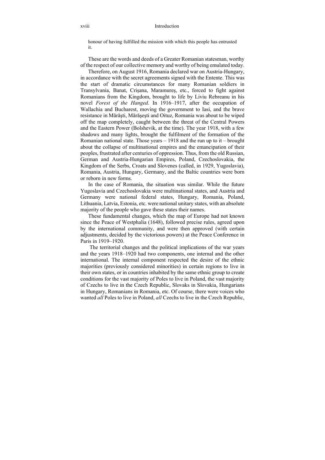#### xviii Introduction

honour of having fulfilled the mission with which this people has entrusted it.

These are the words and deeds of a Greater Romanian statesman, worthy of the respect of our collective memory and worthy of being emulated today.

Therefore, on August 1916, Romania declared war on Austria-Hungary, in accordance with the secret agreements signed with the Entente. This was the start of dramatic circumstances for many Romanian soldiers in Transylvania, Banat, Crișana, Maramureș, etc., forced to fight against Romanians from the Kingdom, brought to life by Liviu Rebreanu in his novel *Forest of the Hanged*. In 1916–1917, after the occupation of Wallachia and Bucharest, moving the government to Iasi, and the brave resistance in Mărăşti, Mărăşeşti and Oituz, Romania was about to be wiped off the map completely, caught between the threat of the Central Powers and the Eastern Power (Bolshevik, at the time). The year 1918, with a few shadows and many lights, brought the fulfilment of the formation of the Romanian national state. Those years  $-1918$  and the run up to it – brought about the collapse of multinational empires and the emancipation of their peoples, frustrated after centuries of oppression. Thus, from the old Russian, German and Austria-Hungarian Empires, Poland, Czechoslovakia, the Kingdom of the Serbs, Croats and Slovenes (called, in 1929, Yugoslavia), Romania, Austria, Hungary, Germany, and the Baltic countries were born or reborn in new forms.

In the case of Romania, the situation was similar. While the future Yugoslavia and Czechoslovakia were multinational states, and Austria and Germany were national federal states, Hungary, Romania, Poland, Lithuania, Latvia, Estonia, etc. were national unitary states, with an absolute majority of the people who gave these states their names.

These fundamental changes, which the map of Europe had not known since the Peace of Westphalia (1648), followed precise rules, agreed upon by the international community, and were then approved (with certain adjustments, decided by the victorious powers) at the Peace Conference in Paris in 1919–1920.

 The territorial changes and the political implications of the war years and the years 1918–1920 had two components, one internal and the other international. The internal component respected the desire of the ethnic majorities (previously considered minorities) in certain regions to live in their own states, or in countries inhabited by the same ethnic group to create conditions for the vast majority of Poles to live in Poland, the vast majority of Czechs to live in the Czech Republic, Slovaks in Slovakia, Hungarians in Hungary, Romanians in Romania, etc. Of course, there were voices who wanted *all* Poles to live in Poland, *all* Czechs to live in the Czech Republic,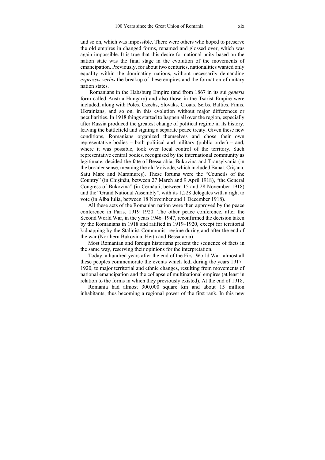and so on, which was impossible. There were others who hoped to preserve the old empires in changed forms, renamed and glossed over, which was again impossible. It is true that this desire for national unity based on the nation state was the final stage in the evolution of the movements of emancipation. Previously, for about two centuries, nationalities wanted only equality within the dominating nations, without necessarily demanding *expressis verbis* the breakup of these empires and the formation of unitary nation states.

 Romanians in the Habsburg Empire (and from 1867 in its sui *generis* form called Austria-Hungary) and also those in the Tsarist Empire were included, along with Poles, Czechs, Slovaks, Croats, Serbs, Baltics, Finns, Ukrainians, and so on, in this evolution without major differences or peculiarities. In 1918 things started to happen all over the region, especially after Russia produced the greatest change of political regime in its history, leaving the battlefield and signing a separate peace treaty. Given these new conditions, Romanians organized themselves and chose their own representative bodies – both political and military (public order) – and, where it was possible, took over local control of the territory. Such representative central bodies, recognised by the international community as legitimate, decided the fate of Bessarabia, Bukovina and Transylvania (in the broader sense, meaning the old Voivode, which included Banat, Crișana, Satu Mare and Maramureş). These forums were the "Councils of the Country" (in Chișinău, between 27 March and 9 April 1918), "the General Congress of Bukovina" (in Cernăuți, between 15 and 28 November 1918) and the "Grand National Assembly", with its 1,228 delegates with a right to vote (in Alba Iulia, between 18 November and 1 December 1918).

All these acts of the Romanian nation were then approved by the peace conference in Paris, 1919–1920. The other peace conference, after the Second World War, in the years 1946–1947, reconfirmed the decision taken by the Romanians in 1918 and ratified in 1919–1920, except for territorial kidnapping by the Stalinist Communist regime during and after the end of the war (Northern Bukovina, Herța and Bessarabia).

Most Romanian and foreign historians present the sequence of facts in the same way, reserving their opinions for the interpretation.

Today, a hundred years after the end of the First World War, almost all these peoples commemorate the events which led, during the years 1917– 1920, to major territorial and ethnic changes, resulting from movements of national emancipation and the collapse of multinational empires (at least in relation to the forms in which they previously existed). At the end of 1918,

Romania had almost 300,000 square km and about 15 million inhabitants, thus becoming a regional power of the first rank. In this new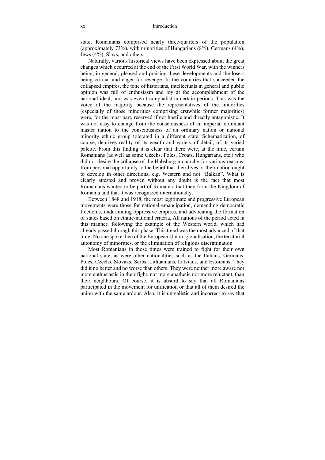state, Romanians comprised nearly three-quarters of the population (approximately 73%), with minorities of Hungarians (8%), Germans (4%), Jews (4%), Slavs, and others.

Naturally, various historical views have been expressed about the great changes which occurred at the end of the First World War, with the winners being, in general, pleased and praising these developments and the losers being critical and eager for revenge. In the countries that succeeded the collapsed empires, the tone of historians, intellectuals in general and public opinion was full of enthusiasm and joy at the accomplishment of the national ideal, and was even triumphalist in certain periods. This was the voice of the majority because the representatives of the minorities (especially of those minorities comprising erstwhile former majorities) were, for the most part, reserved if not hostile and directly antagonistic. It was not easy to change from the consciousness of an imperial dominant master nation to the consciousness of an ordinary nation or national minority ethnic group tolerated in a different state. Schematization, of course, deprives reality of its wealth and variety of detail, of its varied palette. From this finding it is clear that there were, at the time, certain Romanians (as well as some Czechs, Poles, Croats, Hungarians, etc.) who did not desire the collapse of the Habsburg monarchy for various reasons, from personal opportunity to the belief that their lives or their nation ought to develop in other directions, e.g. Western and not "Balkan". What is clearly attested and proven without any doubt is the fact that most Romanians wanted to be part of Romania, that they form the Kingdom of Romania and that it was recognized internationally.

Between 1848 and 1918, the most legitimate and progressive European movements were those for national emancipation, demanding democratic freedoms, undermining oppressive empires, and advocating the formation of states based on ethnic-national criteria. All nations of the period acted in this manner, following the example of the Western world, which had already passed through this phase. This trend was the most advanced of that time! No one spoke then of the European Union, globalisation, the territorial autonomy of minorities, or the elimination of religious discrimination.

Most Romanians in those times were trained to fight for their own national state, as were other nationalities such as the Italians, Germans, Poles, Czechs, Slovaks, Serbs, Lithuanians, Latvians, and Estonians. They did it no better and no worse than others. They were neither more aware nor more enthusiastic in their fight, nor more apathetic nor more reluctant, than their neighbours. Of course, it is absurd to say that all Romanians participated in the movement for unification or that all of them desired the union with the same ardour. Also, it is unrealistic and incorrect to say that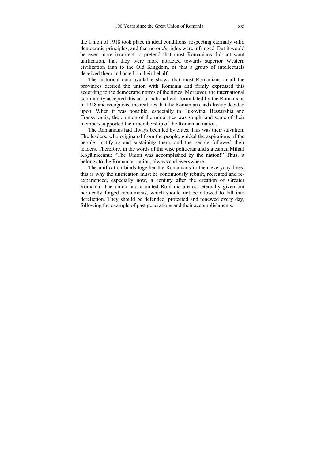the Union of 1918 took place in ideal conditions, respecting eternally valid democratic principles, and that no one's rights were infringed. But it would be even more incorrect to pretend that most Romanians did not want unification, that they were more attracted towards superior Western civilization than to the Old Kingdom, or that a group of intellectuals deceived them and acted on their behalf.

The historical data available shows that most Romanians in all the provinces desired the union with Romania and firmly expressed this according to the democratic norms of the times. Moreover, the international community accepted this act of national will formulated by the Romanians in 1918 and recognized the realities that the Romanians had already decided upon. When it was possible, especially in Bukovina, Bessarabia and Transylvania, the opinion of the minorities was sought and some of their members supported their membership of the Romanian nation.

The Romanians had always been led by elites. This was their salvation. The leaders, who originated from the people, guided the aspirations of the people, justifying and sustaining them, and the people followed their leaders. Therefore, in the words of the wise politician and statesman Mihail Kogălniceanu: "The Union was accomplished by the nation!" Thus, it belongs to the Romanian nation, always and everywhere.

The unification binds together the Romanians in their everyday lives; this is why the unification must be continuously rebuilt, recreated and reexperienced, especially now, a century after the creation of Greater Romania. The union and a united Romania are not eternally given but heroically forged monuments, which should not be allowed to fall into dereliction. They should be defended, protected and renewed every day, following the example of past generations and their accomplishments.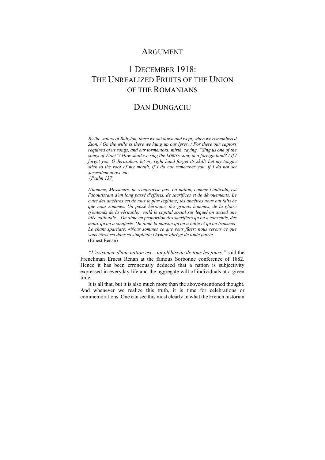## **ARGUMENT**

# 1 DECEMBER 1918: THE UNREALIZED FRUITS OF THE UNION OF THE ROMANIANS

## DAN DUNGACIU

*By the waters of Babylon, there we sat down and wept, when we remembered Zion. / On the willows there we hung up our lyres. / For there our captors required of us songs, and our tormentors, mirth, saying, "Sing us one of the songs of Zion!"/ How shall we sing the LORD's song in a foreign land? / If I forget you, O Jerusalem, let my right hand forget its skill! Let my tongue stick to the roof of my mouth, if I do not remember you, if I do not set Jerusalem above me.*  (*Psalm 137*)

*L'homme, Messieurs, ne s'improvise pas. La nation, comme l'individu, est l'aboutissant d'un long passé d'efforts, de sacrifices et de dévouements. Le culte des ancêtres est de tous le plus légitime; les ancêtres nous ont faits ce que nous sommes. Un passé héroïque, des grands hommes, de la gloire (j'entends de la véritable), voilà le capital social sur lequel on assied une idée nationale... On aime en proportion des sacrifices qu'on a consentis, des maux qu'on a soufferts. On aime la maison qu'on a bâtie et qu'on transmet. Le chant spartiate: «Nous sommes ce que vous fûtes; nous serons ce que vous êtes» est dans sa simplicité l'hymne abrégé de toute patrie.*  (Ernest Renan)

*"L'existence d'une nation est... un plébiscite de tous les jours,"* said the Frenchman Ernest Renan at the famous Sorbonne conference of 1882. Hence it has been erroneously deduced that a nation is subjectivity expressed in everyday life and the aggregate will of individuals at a given time.

It is all that, but it is also much more than the above-mentioned thought. And whenever we realize this truth, it is time for celebrations or commemorations. One can see this most clearly in what the French historian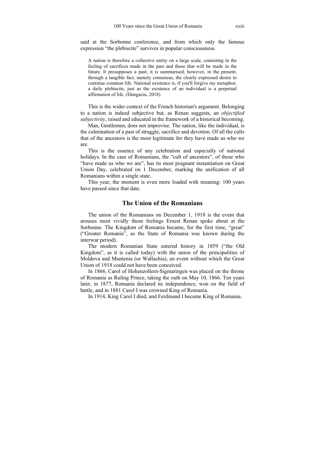said at the Sorbonne conference, and from which only the famous expression "the plebiscite" survives in popular consciousness.

A nation is therefore a collective entity on a large scale, consisting in the feeling of sacrifices made in the past and those that will be made in the future. It presupposes a past; it is summarised, however, in the present, through a tangible fact, namely consensus, the clearly expressed desire to continue common life. National existence is, if you'll forgive my metaphor, a daily plebiscite, just as the existence of an individual is a perpetual affirmation of life. (Dungaciu, 2018)

This is the wider context of the French historian's argument. Belonging to a nation is indeed subjective but, as Renan suggests, an *objectified subjectivity*, raised and educated in the framework of a historical becoming.

Man, Gentlemen, does not improvise. The nation, like the individual, is the culmination of a past of struggle, sacrifice and devotion. Of all the cults that of the ancestors is the most legitimate for they have made us who we are.

This is the essence of any celebration and especially of national holidays. In the case of Romanians, the "cult of ancestors", of those who "have made us who we are", has its most poignant instantiation on Great Union Day, celebrated on 1 December, marking the unification of all Romanians within a single state.

This year, the moment is even more loaded with meaning: 100 years have passed since that date.

#### **The Union of the Romanians**

The union of the Romanians on December 1, 1918 is the event that arouses most vividly those feelings Ernest Renan spoke about at the Sorbonne. The Kingdom of Romania became, for the first time, "great" ("Greater Romania", as the State of Romania was known during the interwar period).

The modern Romanian State entered history in 1859 ("the Old Kingdom", as it is called today) with the union of the principalities of Moldova and Muntenia (or Wallachia), an event without which the Great Union of 1918 could not have been conceived.

In 1866, Carol of Hohenzollern-Sigmaringen was placed on the throne of Romania as Ruling Prince, taking the oath on May 10, 1866. Ten years later, in 1877, Romania declared its independence, won on the field of battle, and in 1881 Carol I was crowned King of Romania.

In 1914, King Carol I died, and Ferdinand I became King of Romania.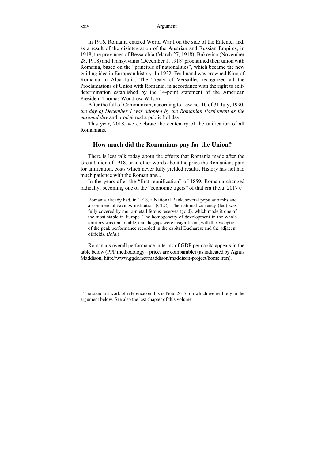In 1916, Romania entered World War I on the side of the Entente, and, as a result of the disintegration of the Austrian and Russian Empires, in 1918, the provinces of Bessarabia (March 27, 1918), Bukovina (November 28, 1918) and Transylvania (December 1, 1918) proclaimed their union with Romania, based on the "principle of nationalities", which became the new guiding idea in European history. In 1922, Ferdinand was crowned King of Romania in Alba Iulia. The Treaty of Versailles recognized all the Proclamations of Union with Romania, in accordance with the right to selfdetermination established by the 14-point statement of the American President Thomas Woodrow Wilson.

After the fall of Communism, according to Law no. 10 of 31 July, 1990, *the day of December 1 was adopted by the Romanian Parliament as the national day* and proclaimed a public holiday.

This year, 2018, we celebrate the centenary of the unification of all Romanians.

#### **How much did the Romanians pay for the Union?**

There is less talk today about the efforts that Romania made after the Great Union of 1918, or in other words about the price the Romanians paid for unification, costs which never fully yielded results. History has not had much patience with the Romanians...

In the years after the "first reunification" of 1859, Romania changed radically, becoming one of the "economic tigers" of that era (Peiu, 2017).<sup>1</sup>

Romania already had, in 1918, a National Bank, several popular banks and a commercial savings institution (CEC). The national currency (leu) was fully covered by mono-metalliferous reserves (gold), which made it one of the most stable in Europe. The homogeneity of development in the whole territory was remarkable, and the gaps were insignificant, with the exception of the peak performance recorded in the capital Bucharest and the adjacent oilfields. (*Ibid*.)

Romania's overall performance in terms of GDP per capita appears in the table below (PPP methodology – prices are comparable) (as indicated by Agnus Maddison, http://www.ggdc.net/maddison/maddison-project/home.htm).

<sup>&</sup>lt;sup>1</sup> The standard work of reference on this is Peiu, 2017, on which we will rely in the argument below. See also the last chapter of this volume.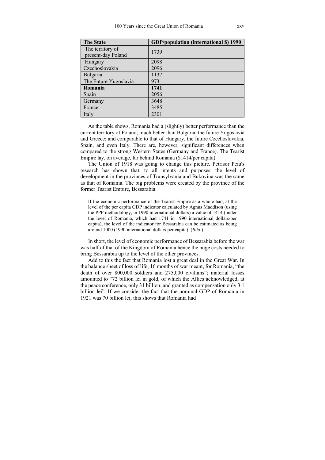| <b>The State</b>      | <b>GDP/population (international \$) 1990</b> |
|-----------------------|-----------------------------------------------|
| The territory of      | 1739                                          |
| present-day Poland    |                                               |
| Hungary               | 2098                                          |
| Czechoslovakia        | 2096                                          |
| Bulgaria              | 1137                                          |
| The Future Yugoslavia | 973                                           |
| Romania               | 1741                                          |
| Spain                 | 2056                                          |
| Germany               | 3648                                          |
| France                | 3485                                          |
| Italy                 | 2301                                          |

As the table shows, Romania had a (slightly) better performance than the current territory of Poland; much better than Bulgaria, the future Yugoslavia and Greece; and comparable to that of Hungary, the future Czechoslovakia, Spain, and even Italy. There are, however, significant differences when compared to the strong Western States (Germany and France). The Tsarist Empire lay, on average, far behind Romania (\$1414/per capita).

The Union of 1918 was going to change this picture. Petrisor Peiu's research has shown that, to all intents and purposes, the level of development in the provinces of Transylvania and Bukovina was the same as that of Romania. The big problems were created by the province of the former Tsarist Empire, Bessarabia.

If the economic performance of the Tsarist Empire as a whole had, at the level of the per capita GDP indicator calculated by Agnus Maddison (using the PPP methodology, in 1990 international dollars) a value of 1414 (under the level of Romania, which had 1741 in 1990 international dollars/per capita), the level of the indicator for Bessarabia can be estimated as being around 1000 (1990 international dollars per capita). (*Ibid*.)

In short, the level of economic performance of Bessarabia before the war was half of that of the Kingdom of Romania hence the huge costs needed to bring Bessarabia up to the level of the other provinces.

Add to this the fact that Romania lost a great deal in the Great War. In the balance sheet of loss of life, 16 months of war meant, for Romania, "the death of over 800,000 soldiers and 275,000 civilians"; material losses amounted to "72 billion lei in gold, of which the Allies acknowledged, at the peace conference, only 31 billion, and granted as compensation only 3.1 billion lei". If we consider the fact that the nominal GDP of Romania in 1921 was 70 billion lei, this shows that Romania had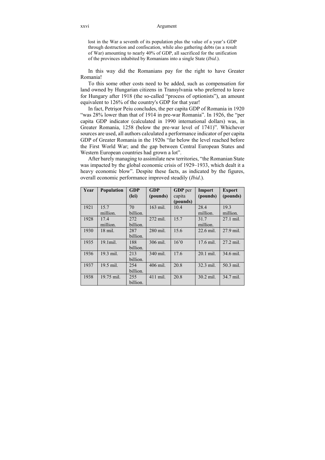#### xxvi Argument

lost in the War a seventh of its population plus the value of a year's GDP through destruction and confiscation, while also gathering debts (as a result of War) amounting to nearly 40% of GDP, all sacrificed for the unification of the provinces inhabited by Romanians into a single State (*Ibid*.).

In this way did the Romanians pay for the right to have Greater Romania!

To this some other costs need to be added, such as compensation for land owned by Hungarian citizens in Transylvania who preferred to leave for Hungary after 1918 (the so-called "process of optionists"), an amount equivalent to 126% of the country's GDP for that year!

In fact, Petrişor Peiu concludes, the per capita GDP of Romania in 1920 "was 28% lower than that of 1914 in pre-war Romania". In 1926, the "per capita GDP indicator (calculated in 1990 international dollars) was, in Greater Romania, 1258 (below the pre-war level of 1741)". Whichever sources are used, all authors calculated a performance indicator of per capita GDP of Greater Romania in the 1920s "far below the level reached before the First World War; and the gap between Central European States and Western European countries had grown a lot".

After barely managing to assimilate new territories, "the Romanian State was impacted by the global economic crisis of 1929–1933, which dealt it a heavy economic blow". Despite these facts, as indicated by the figures, overall economic performance improved steadily (*Ibid*.).

| Year | Population       | <b>GDP</b><br>(lei) | GDP<br>(pounds) | GDP per<br>capita | Import<br>(pounds) | <b>Export</b><br>(pounds) |
|------|------------------|---------------------|-----------------|-------------------|--------------------|---------------------------|
|      |                  |                     |                 | (pounds)          |                    |                           |
| 1921 | 15.7<br>million. | 70<br>billion.      | 163 mil.        | 10.4              | 28.4<br>million.   | 19.3<br>million.          |
| 1928 | 17.4<br>million. | 272<br>billion.     | 272 mil.        | 15.7              | 31.7<br>million.   | 27.1 mil.                 |
| 1930 | $18$ mil.        | 287<br>billion.     | 280 mil.        | 15.6              | 22.6 mil.          | 27.9 mil.                 |
| 1935 | $19.1$ mil.      | 188<br>billion.     | 306 mil.        | 16'0              | 17.6 mil.          | 27.2 mil.                 |
| 1936 | 19.3 mil.        | 213<br>billion.     | 340 mil.        | 17.6              | $20.1$ mil.        | 34.6 mil.                 |
| 1937 | 19.5 mil.        | 254<br>billion.     | 406 mil.        | 20.8              | 32.3 mil.          | 50.3 mil.                 |
| 1938 | 19.75 mil.       | 255<br>billion.     | 411 mil.        | 20.8              | 30.2 mil.          | 34.7 mil.                 |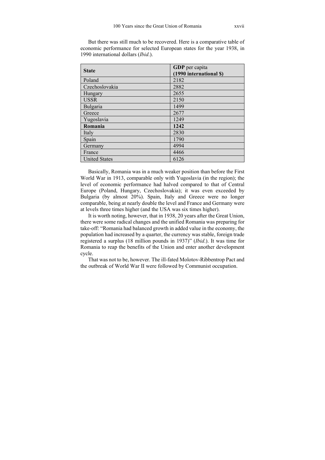But there was still much to be recovered. Here is a comparative table of economic performance for selected European states for the year 1938, in 1990 international dollars (*Ibid*.).

| <b>State</b>         | GDP per capita<br>(1990 international \$) |
|----------------------|-------------------------------------------|
| Poland               | 2182                                      |
| Czechoslovakia       | 2882                                      |
| Hungary              | 2655                                      |
| <b>USSR</b>          | 2150                                      |
| Bulgaria             | 1499                                      |
| Greece               | 2677                                      |
| Yugoslavia           | 1249                                      |
| Romania              | 1242                                      |
| Italy                | 2830                                      |
| Spain                | 1790                                      |
| Germany              | 4994                                      |
| France               | 4466                                      |
| <b>United States</b> | 6126                                      |

Basically, Romania was in a much weaker position than before the First World War in 1913, comparable only with Yugoslavia (in the region); the level of economic performance had halved compared to that of Central Europe (Poland, Hungary, Czechoslovakia); it was even exceeded by Bulgaria (by almost 20%). Spain, Italy and Greece were no longer comparable, being at nearly double the level and France and Germany were at levels three times higher (and the USA was six times higher).

It is worth noting, however, that in 1938, 20 years after the Great Union, there were some radical changes and the unified Romania was preparing for take-off: "Romania had balanced growth in added value in the economy, the population had increased by a quarter, the currency was stable, foreign trade registered a surplus (18 million pounds in 1937)" (*Ibid*.). It was time for Romania to reap the benefits of the Union and enter another development cycle.

That was not to be, however. The ill-fated Molotov-Ribbentrop Pact and the outbreak of World War II were followed by Communist occupation.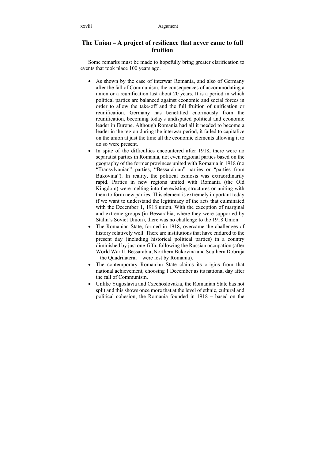### **The Union – A project of resilience that never came to full fruition**

Some remarks must be made to hopefully bring greater clarification to events that took place 100 years ago.

- As shown by the case of interwar Romania, and also of Germany after the fall of Communism, the consequences of accommodating a union or a reunification last about 20 years. It is a period in which political parties are balanced against economic and social forces in order to allow the take-off and the full fruition of unification or reunification. Germany has benefitted enormously from the reunification, becoming today's undisputed political and economic leader in Europe. Although Romania had all it needed to become a leader in the region during the interwar period, it failed to capitalize on the union at just the time all the economic elements allowing it to do so were present.
- In spite of the difficulties encountered after 1918, there were no separatist parties in Romania, not even regional parties based on the geography of the former provinces united with Romania in 1918 (no "Transylvanian" parties, "Bessarabian" parties or "parties from Bukovina"). In reality, the political osmosis was extraordinarily rapid. Parties in new regions united with Romania (the Old Kingdom) were melting into the existing structures or uniting with them to form new parties. This element is extremely important today if we want to understand the legitimacy of the acts that culminated with the December 1, 1918 union. With the exception of marginal and extreme groups (in Bessarabia, where they were supported by Stalin's Soviet Union), there was no challenge to the 1918 Union.
- The Romanian State, formed in 1918, overcame the challenges of history relatively well. There are institutions that have endured to the present day (including historical political parties) in a country diminished by just one-fifth, following the Russian occupation (after World War II, Bessarabia, Northern Bukovina and Southern Dobruja – the Quadrilateral – were lost by Romania).
- The contemporary Romanian State claims its origins from that national achievement, choosing 1 December as its national day after the fall of Communism.
- Unlike Yugoslavia and Czechoslovakia, the Romanian State has not split and this shows once more that at the level of ethnic, cultural and political cohesion, the Romania founded in 1918 – based on the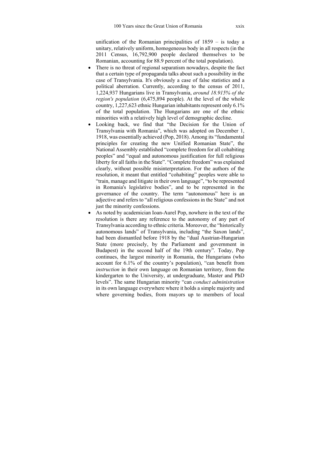unification of the Romanian principalities of 1859 – is today a unitary, relatively uniform, homogeneous body in all respects (in the 2011 Census, 16,792,900 people declared themselves to be Romanian, accounting for 88.9 percent of the total population).

- There is no threat of regional separatism nowadays, despite the fact that a certain type of propaganda talks about such a possibility in the case of Transylvania. It's obviously a case of false statistics and a political aberration. Currently, according to the census of 2011, 1,224,937 Hungarians live in Transylvania, *around 18.915% of the region's population* (6,475,894 people). At the level of the whole country, 1,227,623 ethnic Hungarian inhabitants represent only 6.1% of the total population. The Hungarians are one of the ethnic minorities with a relatively high level of demographic decline.
- Looking back, we find that "the Decision for the Union of Transylvania with Romania", which was adopted on December 1, 1918, was essentially achieved (Pop, 2018). Among its "fundamental principles for creating the new Unified Romanian State", the National Assembly established "complete freedom for all cohabiting peoples" and "equal and autonomous justification for full religious liberty for all faiths in the State". "Complete freedom" was explained clearly, without possible misinterpretation. For the authors of the resolution, it meant that entitled "cohabiting" peoples were able to "train, manage and litigate in their own language", "to be represented in Romania's legislative bodies", and to be represented in the governance of the country. The term "autonomous" here is an adjective and refers to "all religious confessions in the State" and not just the minority confessions.
- As noted by academician Ioan-Aurel Pop, nowhere in the text of the resolution is there any reference to the autonomy of any part of Transylvania according to ethnic criteria. Moreover, the "historically autonomous lands" of Transylvania, including "the Saxon lands", had been dismantled before 1918 by the "dual Austrian-Hungarian State (more precisely, by the Parliament and government in Budapest) in the second half of the 19th century". Today, Pop continues, the largest minority in Romania, the Hungarians (who account for 6.1% of the country's population), "can benefit from *instruction* in their own language on Romanian territory, from the kindergarten to the University, at undergraduate, Master and PhD levels". The same Hungarian minority "can *conduct administration* in its own language everywhere where it holds a simple majority and where governing bodies, from mayors up to members of local